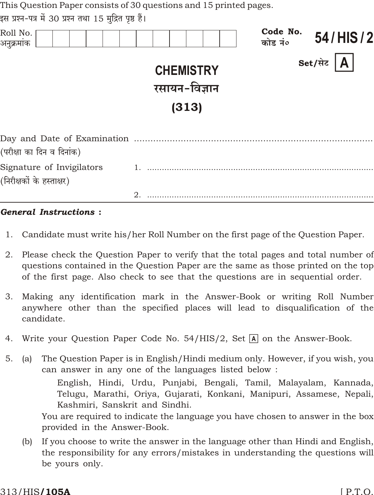This Question Paper consists of 30 questions and 15 printed pages.

इस प्रश्न-पत्र में 30 प्रश्न तथा 15 मद्रित पृष्ठ हैं।

| Roll No.<br>अनुक्रमांक                                 |                                            | Code No.<br>कोड नं० | 54/HIS/2      |
|--------------------------------------------------------|--------------------------------------------|---------------------|---------------|
|                                                        | <b>CHEMISTRY</b><br>रसायन-विज्ञान<br>(313) |                     | Set/सेट $ A $ |
| (परीक्षा का दिन व दिनांक)                              |                                            |                     |               |
| Signature of Invigilators<br>(निरीक्षकों के हस्ताक्षर) |                                            |                     |               |
|                                                        | $\mathfrak{D}_{\mathfrak{p}}$              |                     |               |
|                                                        |                                            |                     |               |

#### **General Instructions:**

- Candidate must write his/her Roll Number on the first page of the Question Paper.  $1.$
- Please check the Question Paper to verify that the total pages and total number of 2. questions contained in the Question Paper are the same as those printed on the top of the first page. Also check to see that the questions are in sequential order.
- Making any identification mark in the Answer-Book or writing Roll Number 3. anywhere other than the specified places will lead to disqualification of the candidate.
- Write your Question Paper Code No. 54/HIS/2, Set A on the Answer-Book. 4.
- The Question Paper is in English/Hindi medium only. However, if you wish, you  $5<sub>1</sub>$  $(a)$ can answer in any one of the languages listed below:

English, Hindi, Urdu, Punjabi, Bengali, Tamil, Malayalam, Kannada, Telugu, Marathi, Oriya, Gujarati, Konkani, Manipuri, Assamese, Nepali, Kashmiri, Sanskrit and Sindhi.

You are required to indicate the language you have chosen to answer in the box provided in the Answer-Book.

If you choose to write the answer in the language other than Hindi and English,  $(b)$ the responsibility for any errors/mistakes in understanding the questions will be yours only.

#### 313/HIS**/105A**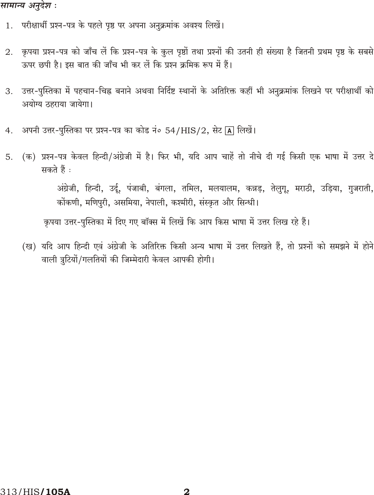### सामान्य अनुदेश :

- 1. परीक्षार्थी प्रश्न-पत्र के पहले पृष्ठ पर अपना अनुक्रमांक अवश्य लिखें।
- कृपया प्रश्न-पत्र को जाँच लें कि प्रश्न-पत्र के कुल पृष्ठों तथा प्रश्नों की उतनी ही संख्या है जितनी प्रथम पृष्ठ के सबसे 2. ऊपर छपी है। इस बात की जाँच भी कर लें कि प्रश्न क्रमिक रूप में हैं।
- उत्तर-पुस्तिका में पहचान-चिह्न बनाने अथवा निर्दिष्ट स्थानों के अतिरिक्त कहीं भी अनुक्रमांक लिखने पर परीक्षार्थी को 3. अयोग्य ठहराया जायेगा।
- अपनी उत्तर-पुस्तिका पर प्रश्न-पत्र का कोड नं० 54/HIS/2, सेट [A] लिखें।  $4.$
- (क) प्रश्न-पत्र केवल हिन्दी/अंग्रेजी में है। फिर भी, यदि आप चाहें तो नीचे दी गई किसी एक भाषा में उत्तर दे 5. सकते हैं :

अंग्रेजी, हिन्दी, उर्दू, पंजाबी, बंगला, तमिल, मलयालम, कन्नड़, तेलुगू, मराठी, उड़िया, गुजराती, कोंकणी, मणिपुरी, असमिया, नेपाली, कश्मीरी, संस्कृत और सिन्धी।

कृपया उत्तर-पुस्तिका में दिए गए बॉक्स में लिखें कि आप किस भाषा में उत्तर लिख रहे हैं।

(ख) यदि आप हिन्दी एवं अंग्रेजी के अतिरिक्त किसी अन्य भाषा में उत्तर लिखते हैं, तो प्रश्नों को समझने में होने वाली त्रुटियों/गलतियों की जिम्मेदारी केवल आपकी होगी।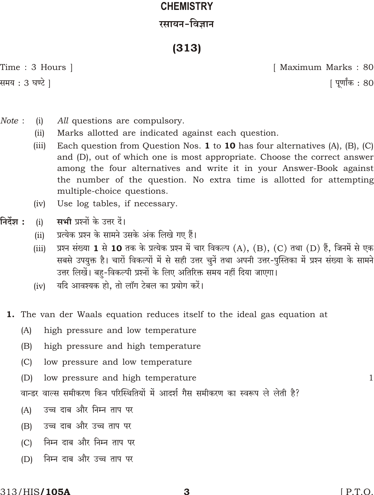# **CHEMISTRY** रसायन-विज्ञान

## $(313)$

Time: 3 Hours | समय : 3 घण्टे ]

[ Maximum Marks: 80 | पूर्णांक : 80

- Note:  $(i)$ All questions are compulsory.
	- $(iii)$ Marks allotted are indicated against each question.
	- Each question from Question Nos.  $1$  to  $10$  has four alternatives (A), (B), (C)  $(iii)$ and (D), out of which one is most appropriate. Choose the correct answer among the four alternatives and write it in your Answer-Book against the number of the question. No extra time is allotted for attempting multiple-choice questions.
	- $(iv)$ Use log tables, if necessary.
- निर्देश : मभी पश्नों के उत्तर दें।  $(i)$ 
	- प्रत्येक प्रश्न के सामने उसके अंक लिखे गए हैं।  $(ii)$
	- प्रश्न संख्या 1 से 10 तक के प्रत्येक प्रश्न में चार विकल्प (A), (B), (C) तथा (D) हैं, जिनमें से एक  $(iii)$ सबसे उपयुक्त है। चारों विकल्पों में से सही उत्तर चुनें तथा अपनी उत्तर-पुस्तिका में प्रश्न संख्या के सामने उत्तर लिखें। बह-विकल्पी प्रश्नों के लिए अतिरिक्त समय नहीं दिया जाएगा।
	- यदि आवश्यक हो, तो लॉग टेबल का प्रयोग करें।  $(iv)$
	- 1. The van der Waals equation reduces itself to the ideal gas equation at
		- $(A)$ high pressure and low temperature
		- $(B)$ high pressure and high temperature
		- $(C)$ low pressure and low temperature
		- $(D)$ low pressure and high temperature
		- वान्डर वाल्स समीकरण किन परिस्थितियों में आदर्श गैस समीकरण का स्वरूप ले लेती है?
		- उच्च दाब और निम्न ताप पर  $(A)$
		- उच्च दाब और उच्च ताप पर  $(B)$
		- निम्न दाब और निम्न ताप पर  $(C)$
		- निम्न दाब और उच्च ताप पर  $(D)$

 $\mathbf{1}$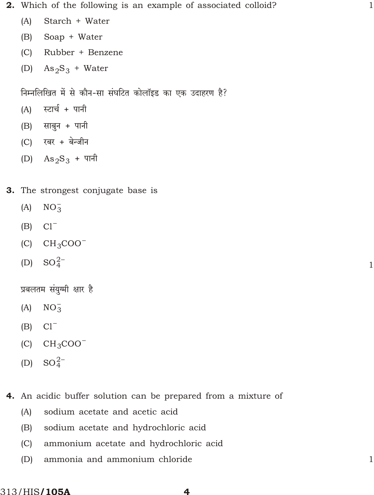- **2.** Which of the following is an example of associated colloid? 1
	- (A) Starch + Water
	- (B) Soap + Water
	- (C) Rubber + Benzene
	- (D)  $\text{As}_2\text{S}_3$  + Water

त्तिम्नलिखित में से कौन-सा संघटित कोलॉइड का एक उदाहरण है?

- $(A)$  स्टार्च + पानी
- $(B)$  साबुन + पानी
- (C) रबर + बेन्जीन
- (D)  $\text{As}_2\text{S}_3$  + पानी
- 3. The strongest conjugate base is
	- $(A)$  NO<sub>3</sub>
	- (B) Cl
	- $(C)$   $CH_3COO$
	- $(D)$  $SO_4^2$

प्रबलतम संयुग्मी क्षार है

- $(A)$  NO<sub>3</sub>
- (B) Cl
- $(C)$   $CH_3COO$
- (D)  $SO_4^2$
- 4. An acidic buffer solution can be prepared from a mixture of
	- (A) sodium acetate and acetic acid
	- (B) sodium acetate and hydrochloric acid
	- (C) ammonium acetate and hydrochloric acid
	- (D) ammonia and ammonium chloride 1

1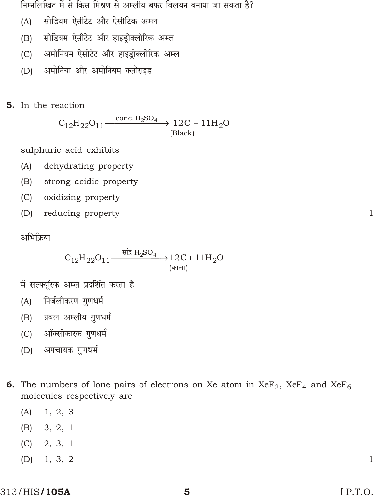निम्नलिखित में से किस मिश्रण से अम्लीय बफर विलयन बनाया जा सकता है?

- सोडियम ऐसीटेट और ऐसीटिक अम्ल  $(A)$
- सोडियम ऐसीटेट और हाइडोक्लोरिक अम्ल  $(B)$
- अमोनियम ऐसीटेट और हाइड़ोक्लोरिक अम्ल  $(C)$
- अमोनिया और अमोनियम क्लोराइड  $(D)$
- **5.** In the reaction

 $C_{12}H_{22}O_{11}$  conc.  $H_2SO_4$  $12C$  $11H_2O$ (Black)

sulphuric acid exhibits

- dehydrating property  $(A)$
- strong acidic property  $(B)$
- $(C)$ oxidizing property
- $(D)$ reducing property

अभिक्रिया

 $C_{12}H_{22}O_{11}$ <sup>सांद्र H<sub>2</sub>SO<sub>4</sub></sup>  $12C$  $11H<sub>2</sub>O$ (काला)

- में सल्फ्यूरिक अम्ल प्रदर्शित करता है
- निर्जलीकरण गुणधर्म  $(A)$
- प्रबल अम्लीय गुणधर्म  $(B)$
- ऑक्सीकारक गुणधर्म  $(C)$
- अपचायक गुणधर्म  $(D)$
- **6.** The numbers of lone pairs of electrons on Xe atom in  $XeF_2$ ,  $XeF_4$  and  $XeF_6$ molecules respectively are
	- $(A)$  $1, 2, 3$
	- $(B)$  3, 2, 1
	- $(C)$  2, 3, 1
	- $1, 3, 2$  $(D)$

 $\mathbf{1}$ 

 $\mathbf{1}$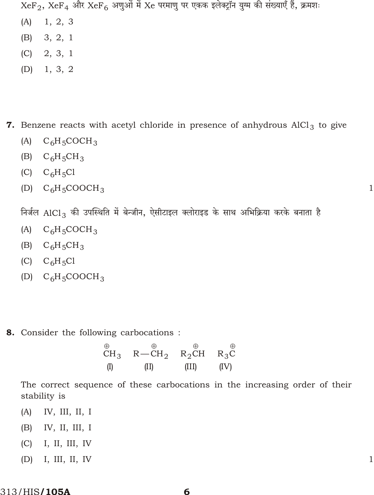$XeF_2$ ,  $XeF_4$  और  $XeF_6$  अणुओं में  $Xe$  परमाणु पर एकक इलेक्ट्रॉन युग्म की संख्याएँ हैं, क्रमशः

- $1, 2, 3$  $(A)$
- $(B)$  3, 2, 1
- $(C)$  2, 3, 1
- $1, 3, 2$  $(D)$

7. Benzene reacts with acetyl chloride in presence of anhydrous  $AICI<sub>3</sub>$  to give

- $C_6H_5COCH_3$  $(A)$
- (B)  $C_6H_5CH_3$
- $(C)$   $C_6H_5Cl$
- (D)  $C_6H_5COOCH_3$

निर्जल AlCl<sub>3</sub> की उपस्थिति में बेन्जीन, ऐसीटाइल क्लोराइड के साथ अभिक्रिया करके बनाता है

 $\mathbf{1}$ 

 $\mathbf{1}$ 

- $(A)$  $C_6H_5COCH_3$
- $C_6H_5CH_3$  $(B)$
- (C)  $C_6H_5Cl$
- (D)  $C_6H_5COOCH_3$
- **8.** Consider the following carbocations:

The correct sequence of these carbocations in the increasing order of their stability is

- IV, III, II, I  $(A)$
- IV, II, III, I  $(B)$
- I, II, III, IV  $(C)$
- $(D)$ I, III, II, IV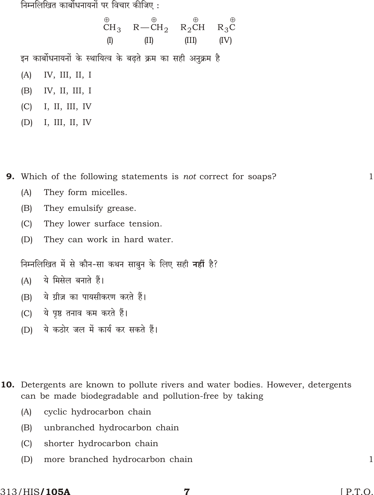निम्नलिखित कार्बोधनायनों पर विचार कीजिए :

 $R_2CH$  $CH_3$   $R-CH_2$  $R_3C$  $(1)$  $(II)$  $(III)$  $(IV)$ इन कार्बोधनायनों के स्थायित्व के बढते क्रम का सही अनुक्रम है  $(A)$ IV, III, II, I  $(B)$ IV, II, III, I I, II, III, IV  $(C)$  $(D)$ I, III, II, IV

**9.** Which of the following statements is *not* correct for soaps?

- They form micelles.  $(A)$
- $(B)$ They emulsify grease.
- $(C)$ They lower surface tension.
- $(D)$ They can work in hard water.

निम्नलिखित में से कौन-सा कथन साबुन के लिए सही नहीं है?

- ये मिसेल बनाते हैं।  $(A)$
- ये ग्रीज़ का पायसीकरण करते हैं।  $(B)$
- ये पृष्ठ तनाव कम करते हैं।  $(C)$
- ये कठोर जल में कार्य कर सकते हैं।  $(D)$
- **10.** Detergents are known to pollute rivers and water bodies. However, detergents can be made biodegradable and pollution-free by taking
	- cyclic hydrocarbon chain  $(A)$
	- unbranched hydrocarbon chain  $(B)$
	- shorter hydrocarbon chain  $(C)$
	- $(D)$ more branched hydrocarbon chain

 $\mathbf{1}$ 

 $\mathbf{1}$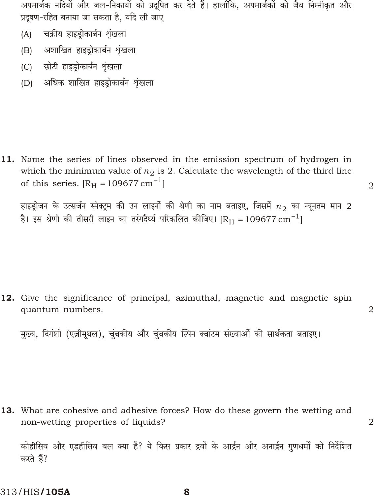अपमार्जक नदियों और जल-निकायों को प्रदूषित कर देते हैं। हालाँकि, अपमार्जकों को जैव निम्नीकृत और प्रदुषण-रहित बनाया जा सकता है. यदि ली जाए

- चक्रीय हाइड़ोकार्बन शृंखला  $(A)$
- अशाखित हाइडोकार्बन शृंखला  $(B)$
- (C) छोटी हाइडोकार्बन शृंखला
- अधिक शाखित हाइड्रोकार्बन शृंखला  $(D)$

11. Name the series of lines observed in the emission spectrum of hydrogen in which the minimum value of  $n_2$  is 2. Calculate the wavelength of the third line of this series.  $\begin{bmatrix} R_{\rm H} \end{bmatrix}$  109677 cm  $\begin{bmatrix} 1 \end{bmatrix}$ 

हाइड़ोजन के उत्सर्जन स्पेक्ट्रम की उन लाइनों की श्रेणी का नाम बताइए, जिसमें  $n_{\rm{2}}$  का न्यूनतम मान  $2$ है। इस श्रेणी की तीसरी लाइन का तरंगदैर्घ्य परिकलित कीजिए।  $\rm [R_{H}-109677\, cm^{-1}]$ 

 $\overline{2}$ 

 $\overline{2}$ 

 $\overline{2}$ 

12. Give the significance of principal, azimuthal, magnetic and magnetic spin quantum numbers.

मुख्य, दिगंशी (एज़ीमूथल), चुंबकीय और चुंबकीय स्पिन क्वांटम संख्याओं की सार्थकता बताइए।

**13.** What are cohesive and adhesive forces? How do these govern the wetting and non-wetting properties of liquids?

कोहीसिव और एडहीसिव बल क्या हैं? ये किस प्रकार द्रवों के आर्द्रन और अनार्द्रन गुणधर्मों को निर्देशित करते हैं?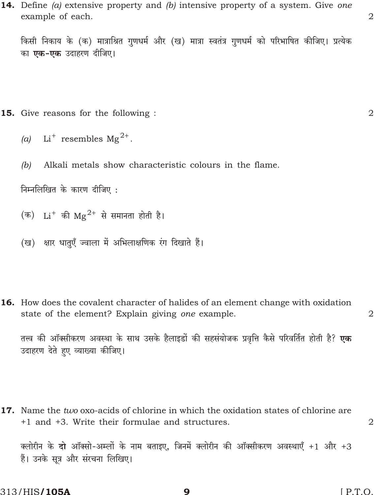**14.** Define  $(a)$  extensive property and  $(b)$  intensive property of a system. Give one example of each.

किसी निकाय के (क) मात्राश्रित गुणधर्म और (ख) मात्रा स्वतंत्र गुणधर्म को परिभाषित कीजिए। प्रत्येक का एक-एक उदाहरण दीजिए।

- **15.** Give reasons for the following:
	- (a) Li resembles  $Mg^2$ .
	- Alkali metals show characteristic colours in the flame.  $(b)$

निम्नलिखित के कारण दीजिए:

(क) Li की  $\text{Mg}^2$  से समानता होती है।

(ख) क्षार धातुएँ ज्वाला में अभिलाक्षणिक रंग दिखाते हैं।

**16.** How does the covalent character of halides of an element change with oxidation state of the element? Explain giving one example.

तत्त्व की ऑक्सीकरण अवस्था के साथ उसके हैलाइडों की सहसंयोजक प्रवृत्ति कैसे परिवर्तित होती है? **एक** उदाहरण देते हए व्याख्या कीजिए।

17. Name the two oxo-acids of chlorine in which the oxidation states of chlorine are +1 and +3. Write their formulae and structures.

क्लोरीन के दो ऑक्सो-अम्लों के नाम बताइए, जिनमें क्लोरीन की ऑक्सीकरण अवस्थाएँ +1 और +3 हैं। उनके सत्र और संरचना लिखिए।

9

 $\overline{2}$ 

 $\overline{2}$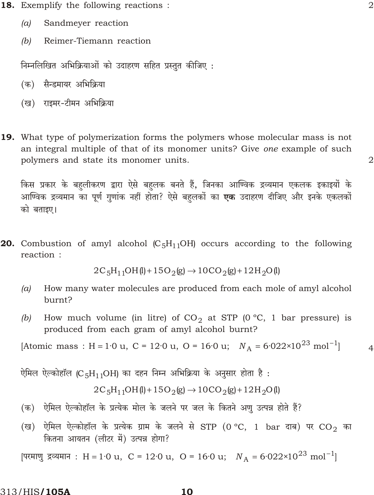- **18.** Exemplify the following reactions:
	- $(a)$ Sandmeyer reaction
	- $(b)$ Reimer-Tiemann reaction

निम्नलिखित अभिक्रियाओं को उदाहरण सहित प्रस्तुत कीजिए:

- (क) सैन्डमायर अभिक्रिया
- (ख) राइमर-टीमन अभिक्रिया
- **19.** What type of polymerization forms the polymers whose molecular mass is not an integral multiple of that of its monomer units? Give one example of such polymers and state its monomer units.

किस प्रकार के बहलीकरण द्वारा ऐसे बहलक बनते हैं, जिनका आण्विक द्रव्यमान एकलक इकाइयों के आण्विक द्रव्यमान का पूर्ण गुणांक नहीं होता? ऐसे बहलकों का **एक** उदाहरण दीजिए और इनके एकलकों को बताइए।

**20.** Combustion of amyl alcohol  $(C_5H_{11}OH)$  occurs according to the following reaction:

$$
2C_5H_{11}OH(l)
$$
 15 $O_2(g)$  10 $CO_2(g)$  12 $H_2O(l)$ 

- How many water molecules are produced from each mole of amyl alcohol  $(a)$ burnt?
- How much volume (in litre) of  $CO_2$  at STP (0 °C, 1 bar pressure) is  $(b)$ produced from each gram of amyl alcohol burnt?

[Atomic mass : H 1.0 u, C = 12.0 u, O = 16.0 u;  $N_A$  6.022×10<sup>23</sup> mol<sup>1</sup>]

ऐमिल ऐल्कोहॉल (C 5H 11OH) का दहन निम्न अभिक्रिया के अनुसार होता है:

 $2C_5H_{11}OH(1)$   $15O_2(g)$   $10CO_2(g)$   $12H_2O(1)$ 

- (क) ऐमिल ऐल्कोहॉल के प्रत्येक मोल के जलने पर जल के कितने अण उत्पन्न होते हैं?
- (ख) ऐमिल ऐल्कोहॉल के प्रत्येक ग्राम के जलने से STP (0 °C, 1 bar दाब) पर CO<sub>2</sub> का कितना आयतन (लीटर में) उत्पन्न होगा?

[परमाणु द्रव्यमान : H 1.0 u, C = 12.0 u, O = 16.0 u;  $N_A$  6.022×10<sup>23</sup> mol<sup>1</sup>

313/HIS**/105A** 

 $\overline{2}$ 

 $\overline{4}$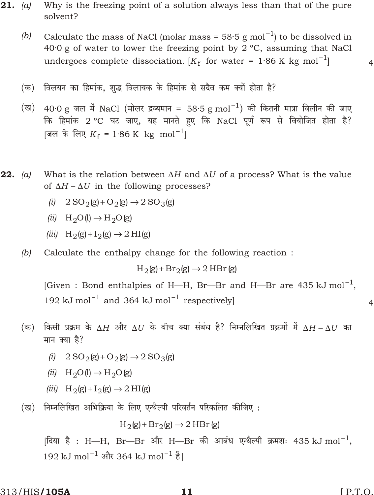- 21. *(a)* Why is the freezing point of a solution always less than that of the pure solvent?
	- (b) Calculate the mass of NaCl (molar mass =  $58.5$  g mol<sup>1</sup>) to be dissolved in 40·0 g of water to lower the freezing point by 2 ºC, assuming that NaCl undergoes complete dissociation.  $[K_{\mathrm{f}}$  for water = 1·86 K kg mol  $^{-1}$ ] 4
	- (क) विलयन का हिमांक, शुद्ध विलायक के हिमांक से सदैव कम क्यों होता है?
	- $(\overline{\texttt{u}})$  40 $\cdot$ 0 g जल में NaCl (मोलर द्रव्यमान = 58 $\cdot$ 5 g mol  $^1)$  की कितनी मात्रा विलीन की जाए fके हिमांक 2 °C घट जाए, यह मानते हुए कि NaCl पूर्ण रूप से वियोजित होता है? [जल के लिए  $K_{\rm f}$  = 1·86 K kg mol<sup>1</sup>]
- 22. *(a)* What is the relation between *H* and *U* of a process? What is the value of *H U* in the following processes?
	- *(i)*  $2 SO_2(g) O_2(g) 2 SO_3(g)$
	- $(ii)$  H<sub>2</sub>O(l) H<sub>2</sub>O(g)
	- $(iii)$  H<sub>2</sub>(g) I<sub>2</sub>(g) 2 HI(g)
	- *(b)* Calculate the enthalpy change for the following reaction :

 $H_2(g)$  Br<sub>2</sub>(g) 2 HBr (g)

[Given : Bond enthalpies of H—H, Br—Br and H—Br are 435 kJ mol  $^1$ ,  $192 \text{ kJ} \text{ mol}^{-1}$  and  $364 \text{ kJ} \text{ mol}^{-1}$  respectively] 4

- $H \left( \Phi \right)$  किसी प्रक्रम के  $H$  और  $U$  के बीच क्या संबंध है? निम्नलिखित प्रक्रमों में  $H$   $U$  का मान क्या है?
	- *(i)*  $2 SO_2(g) O_2(g) 2 SO_3(g)$
	- $(ii)$  H<sub>2</sub>O(l) H<sub>2</sub>O(g)
	- *(iii)*  $H_2(g)$   $I_2(g)$  2 HI(g)
- (ख) निम्नलिखित अभिक्रिया के लिए एन्थैल्पी परिवर्तन परिकलित कीजिए :

 $H_2(g)$  Br<sub>2</sub>(g) 2 HBr (g)

[दिया है : H—H, Br—Br और H—Br की आबंध एन्थैल्पी क्रमशः 435 kJ mol  $^1,$  $192 \text{ kJ} \text{ mol}^{-1}$  और 364 kJ mol $^{-1} \frac{3}{5}$ ]

 $313/H$ IS/105A 11 [ P.T.O.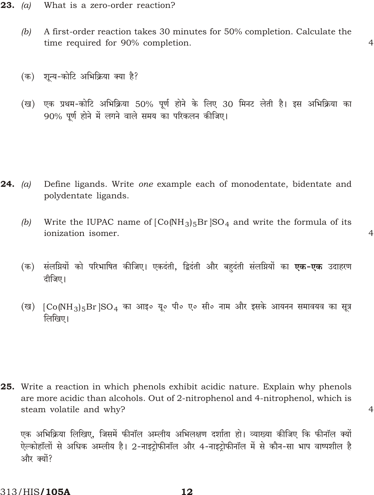- **23.** (a) What is a zero-order reaction?
	- $(b)$ A first-order reaction takes 30 minutes for 50% completion. Calculate the time required for 90% completion.

 $\overline{4}$ 

 $\overline{4}$ 

 $\overline{4}$ 

- (क) शुन्य-कोटि अभिक्रिया क्या है?
- एक प्रथम-कोटि अभिक्रिया 50% पूर्ण होने के लिए 30 मिनट लेती है। इस अभिक्रिया का (ख) 90% पूर्ण होने में लगने वाले समय का परिकलन कीजिए।

- **24.** (a) Define ligands. Write one example each of monodentate, bidentate and polydentate ligands.
	- Write the IUPAC name of  $[Co(NH_3)_5Br]SO_4$  and write the formula of its  $(b)$ ionization isomer.
	- (क) संलग्नियों को परिभाषित कीजिए। एकदंती, द्विदंती और बहदंती संलग्नियों का **एक-एक** उदाहरण दीजिए।
	- (ख) [Co(NH<sub>3</sub>)5Br SO<sub>4</sub> का आइ० यू० पी० ए० सी० नाम और इसके आयनन समावयव का सूत्र लिखिए।

25. Write a reaction in which phenols exhibit acidic nature. Explain why phenols are more acidic than alcohols. Out of 2-nitrophenol and 4-nitrophenol, which is steam volatile and why?

एक अभिक्रिया लिखिए, जिसमें फीनॉल अम्लीय अभिलक्षण दर्शाता हो। व्याख्या कीजिए कि फीनॉल क्यों ऐल्कोहॉलों से अधिक अम्लीय है। 2-नाइटोफीनॉल और 4-नाइटोफीनॉल में से कौन-सा भाप वाष्पशील है और क्यों?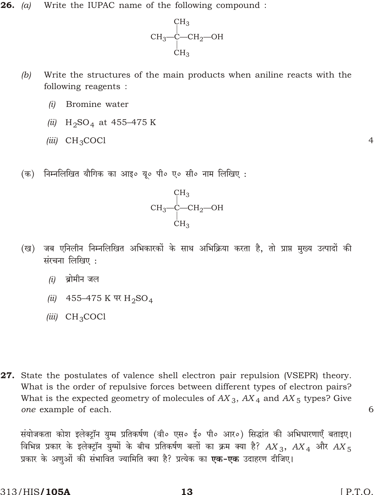26. (a) Write the IUPAC name of the following compound :



- $(b)$ Write the structures of the main products when aniline reacts with the following reagents :
	- $(i)$ Bromine water
	- (ii)  $H_2SO_4$  at 455-475 K
	- $(iii)$  CH<sub>3</sub>COCl
- (क) निम्नलिखित यौगिक का आइ० यू० पी० ए० सी० नाम लिखिए :



- जब एनिलीन निम्नलिखित अभिकारकों के साथ अभिक्रिया करता है, तो प्राप्त मुख्य उत्पादों की (ख) संरचना लिखिए :
	- $(i)$  ब्रोमीन जल
	- (ii) 455-475 K पर  $H_2SO_4$
	- (iii)  $CH_3COCl$
- 27. State the postulates of valence shell electron pair repulsion (VSEPR) theory. What is the order of repulsive forces between different types of electron pairs? What is the expected geometry of molecules of  $AX_3$ ,  $AX_4$  and  $AX_5$  types? Give one example of each.

संयोजकता कोश इलेक्ट्रॉन युग्म प्रतिकर्षण (वी० एस० ई० पी० आर०) सिद्धांत की अभिधारणाएँ बताइए। विभिन्न प्रकार के इलेक्ट्रॉन युग्मों के बीच प्रतिकर्षण बलों का क्रम क्या है?  $AX_3$ ,  $AX_4$  और  $AX_5$ प्रकार के अणओं की संभावित ज्यामिति क्या है? प्रत्येक का **एक-एक** उदाहरण दीजिए।

6

 $\overline{4}$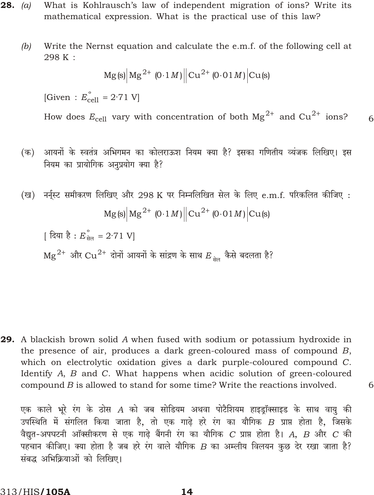- **28.** (a) What is Kohlrausch's law of independent migration of ions? Write its mathematical expression. What is the practical use of this law?
	- $(b)$ Write the Nernst equation and calculate the e.m.f. of the following cell at 298 K:

$$
Mg(s) \big| Mg^2 \quad (0 \; 1M) \big| Cu^2 \quad (0 \; 01M) \big| Cu(s)
$$

[Given :  $E_{cell}^{\circ}$  2.71 V]

How does  $E_{cell}$  vary with concentration of both  $Mg^2$  and  $Cu^2$  ions? 6

- (क) आयनों के स्वतंत्र अभिगमन का कोलराऊश नियम क्या है? इसका गणितीय व्यंजक लिखिए। इस नियम का प्रायोगिक अनुप्रयोग क्या है?
- (ख) नर्नुस्ट समीकरण लिखिए और 298 K पर निम्नलिखित सेल के लिए e.m.f. परिकलित कीजिए :  $Mg(s)$   $Mg^2$  (0 1*M*)  $|Cu^2$  (0 01*M*)  $|Cu(s)|$

| दिया है :  $E_{\hat{\pi}\hat{\sigma}}^{\circ}$  2.71 V]

 $\text{Mg}^2$  और  $\text{Cu}^2$  दोनों आयनों के सांद्रण के साथ  $E_{\text{tan}}$  कैसे बदलता है?

29. A blackish brown solid A when fused with sodium or potassium hydroxide in the presence of air, produces a dark green-coloured mass of compound B, which on electrolytic oxidation gives a dark purple-coloured compound C. Identify A, B and C. What happens when acidic solution of green-coloured compound  $B$  is allowed to stand for some time? Write the reactions involved.

एक काले भूरे रंग के ठोस A को जब सोडियम अथवा पोटैशियम हाइड्रॉक्साइड के साथ वायु की उपस्थिति में संगलित किया जाता है, तो एक गाढ़े हरे रंग का यौगिक  $B$  प्राप्त होता है, जिसके वैद्युत-अपघटनी ऑक्सीकरण से एक गाढ़े बैंगनी रंग का यौगिक C प्राप्त होता है। A, B और C की पहचान कीजिए। क्या होता है जब हरे रंग वाले यौगिक  $B$  का अम्लीय विलयन कुछ देर रखा जाता है? संबद्ध अभिक्रियाओं को लिखिए।

6